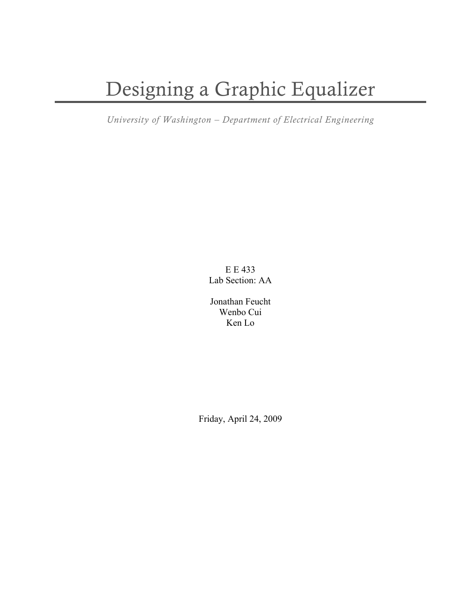# Designing a Graphic Equalizer

*University of Washington – Department of Electrical Engineering*

E E 433 Lab Section: AA

Jonathan Feucht Wenbo Cui Ken Lo

Friday, April 24, 2009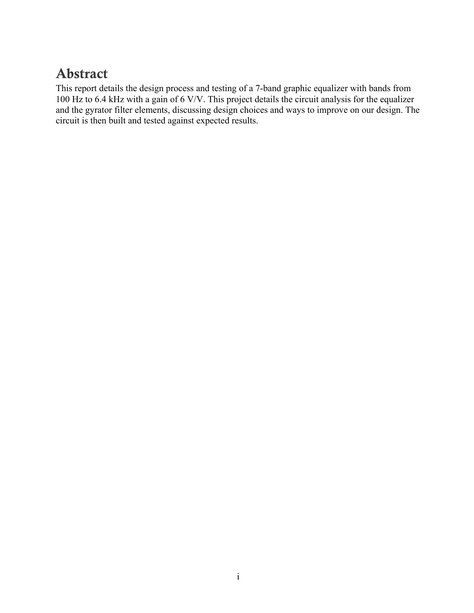# Abstract

This report details the design process and testing of a 7-band graphic equalizer with bands from 100 Hz to 6.4 kHz with a gain of 6 V/V. This project details the circuit analysis for the equalizer and the gyrator filter elements, discussing design choices and ways to improve on our design. The circuit is then built and tested against expected results.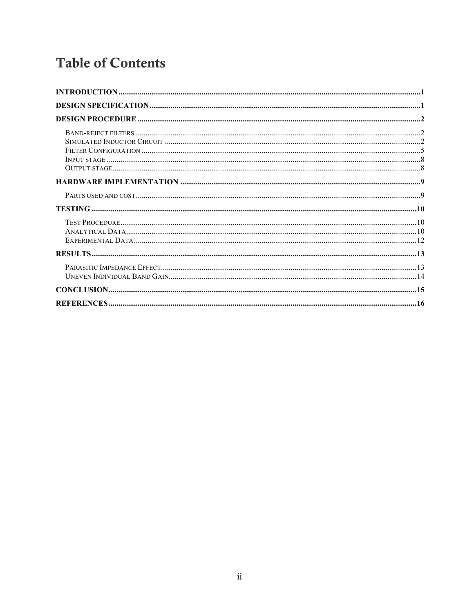# **Table of Contents**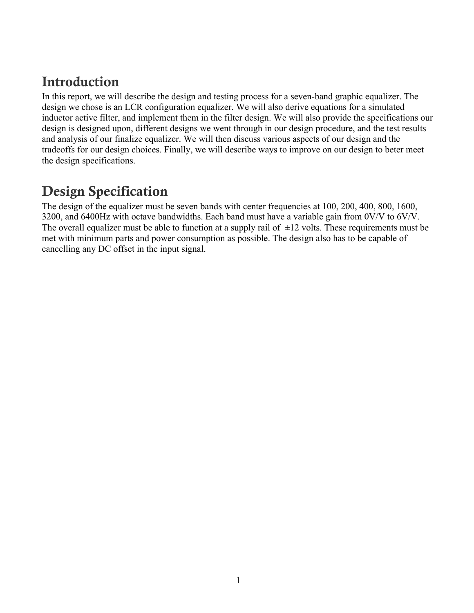# Introduction

In this report, we will describe the design and testing process for a seven-band graphic equalizer. The design we chose is an LCR configuration equalizer. We will also derive equations for a simulated inductor active filter, and implement them in the filter design. We will also provide the specifications our design is designed upon, different designs we went through in our design procedure, and the test results and analysis of our finalize equalizer. We will then discuss various aspects of our design and the tradeoffs for our design choices. Finally, we will describe ways to improve on our design to beter meet the design specifications.

# Design Specification

The design of the equalizer must be seven bands with center frequencies at 100, 200, 400, 800, 1600, 3200, and 6400Hz with octave bandwidths. Each band must have a variable gain from 0V/V to 6V/V. The overall equalizer must be able to function at a supply rail of  $\pm 12$  volts. These requirements must be met with minimum parts and power consumption as possible. The design also has to be capable of cancelling any DC offset in the input signal.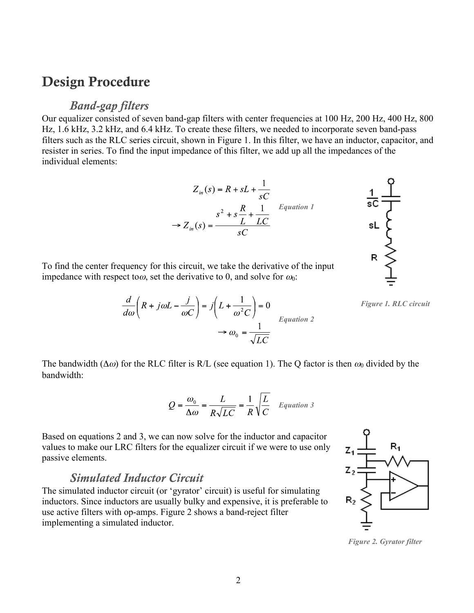### Design Procedure

#### *Band-gap filters*

Our equalizer consisted of seven band-gap filters with center frequencies at 100 Hz, 200 Hz, 400 Hz, 800 Hz, 1.6 kHz, 3.2 kHz, and 6.4 kHz. To create these filters, we needed to incorporate seven band-pass filters such as the RLC series circuit, shown in Figure 1. In this filter, we have an inductor, capacitor, and resister in series. To find the input impedance of this filter, we add up all the impedances of the individual elements:

$$
Z_{in}(s) = R + sL + \frac{1}{sC}
$$
  

$$
\Rightarrow Z_{in}(s) = \frac{s^{2} + s\frac{R}{L} + \frac{1}{LC}}{sC}
$$
 Equation 1



To find the center frequency for this circuit, we take the derivative of the input impedance with respect tow, set the derivative to 0, and solve for  $\omega_0$ :

 $rac{d}{d\omega} \left(R + j\omega L - \frac{j}{\omega C}\right) = j\left(L + \frac{1}{\omega^2 C}\right) = 0$ <br> $\rightarrow \omega_0 = \frac{1}{\sqrt{LC}}$ 

*Figure 1. RLC circuit*

The bandwidth ( $\Delta\omega$ ) for the RLC filter is R/L (see equation 1). The Q factor is then  $\omega_0$  divided by the bandwidth:

$$
Q = \frac{\omega_0}{\Delta \omega} = \frac{L}{R\sqrt{LC}} = \frac{1}{R}\sqrt{\frac{L}{C}} \quad Equation 3
$$

Based on equations 2 and 3, we can now solve for the inductor and capacitor values to make our LRC filters for the equalizer circuit if we were to use only passive elements.

#### *Simulated Inductor Circuit*

The simulated inductor circuit (or 'gyrator' circuit) is useful for simulating inductors. Since inductors are usually bulky and expensive, it is preferable to use active filters with op-amps. Figure 2 shows a band-reject filter implementing a simulated inductor.



*Figure 2. Gyrator filter*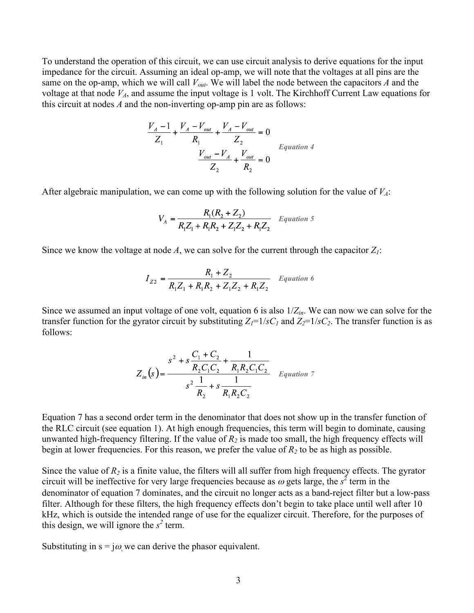To understand the operation of this circuit, we can use circuit analysis to derive equations for the input impedance for the circuit. Assuming an ideal op-amp, we will note that the voltages at all pins are the same on the op-amp, which we will call  $V_{out}$ . We will label the node between the capacitors *A* and the voltage at that node  $V_A$ , and assume the input voltage is 1 volt. The Kirchhoff Current Law equations for this circuit at nodes *A* and the non-inverting op-amp pin are as follows:

$$
\frac{V_A - 1}{Z_1} + \frac{V_A - V_{out}}{R_1} + \frac{V_A - V_{out}}{Z_2} = 0
$$
  

$$
\frac{V_{out} - V_A}{Z_2} + \frac{V_{out}}{R_2} = 0
$$
Equation 4

After algebraic manipulation, we can come up with the following solution for the value of  $V_A$ :

$$
V_A = \frac{R_1(R_2 + Z_2)}{R_1 Z_1 + R_1 R_2 + Z_1 Z_2 + R_1 Z_2}
$$
 Equation 5

Since we know the voltage at node  $A$ , we can solve for the current through the capacitor  $Z<sub>1</sub>$ :

$$
I_{Z2} = \frac{R_1 + Z_2}{R_1 Z_1 + R_1 R_2 + Z_1 Z_2 + R_1 Z_2}
$$
 Equation 6

Since we assumed an input voltage of one volt, equation 6 is also 1/*Zin*. We can now we can solve for the transfer function for the gyrator circuit by substituting  $Z_1=1/sC_1$  and  $Z_2=1/sC_2$ . The transfer function is as follows:

$$
Z_{in}(s) = \frac{s^2 + s\frac{C_1 + C_2}{R_2C_1C_2} + \frac{1}{R_1R_2C_1C_2}}{s^2\frac{1}{R_2} + s\frac{1}{R_1R_2C_2}} \quad \text{Equation 7}
$$

Equation 7 has a second order term in the denominator that does not show up in the transfer function of the RLC circuit (see equation 1). At high enough frequencies, this term will begin to dominate, causing unwanted high-frequency filtering. If the value of  $R_2$  is made too small, the high frequency effects will begin at lower frequencies. For this reason, we prefer the value of  $R_2$  to be as high as possible.

Since the value of  $R_2$  is a finite value, the filters will all suffer from high frequency effects. The gyrator circuit will be ineffective for very large frequencies because as  $\omega$  gets large, the  $s^2$  term in the denominator of equation 7 dominates, and the circuit no longer acts as a band-reject filter but a low-pass filter. Although for these filters, the high frequency effects don't begin to take place until well after 10 kHz, which is outside the intended range of use for the equalizer circuit. Therefore, for the purposes of this design, we will ignore the  $s^2$  term.

Substituting in  $s = j\omega$ , we can derive the phasor equivalent.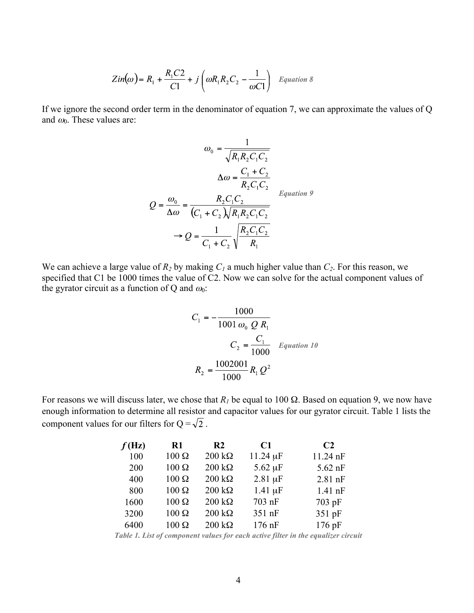$$
Zin(\omega) = R_1 + \frac{R_1C2}{C1} + j\left(\omega R_1 R_2 C_2 - \frac{1}{\omega C1}\right) \quad Equation \ 8
$$

If we ignore the second order term in the denominator of equation 7, we can approximate the values of Q and  $\omega_0$ . These values are:

$$
\omega_0 = \frac{1}{\sqrt{R_1 R_2 C_1 C_2}}
$$

$$
\Delta \omega = \frac{C_1 + C_2}{R_2 C_1 C_2}
$$

$$
Q = \frac{\omega_0}{\Delta \omega} = \frac{R_2 C_1 C_2}{(C_1 + C_2) \sqrt{R_1 R_2 C_1 C_2}}
$$

$$
\omega_0 = \frac{R_2 C_1 C_2}{C_1 + C_2 \sqrt{R_1 R_2 C_1 C_2}}
$$

We can achieve a large value of  $R_2$  by making  $C_1$  a much higher value than  $C_2$ . For this reason, we specified that C1 be 1000 times the value of C2. Now we can solve for the actual component values of the gyrator circuit as a function of Q and  $\omega_0$ :

$$
C_1 = -\frac{1000}{1001 \omega_0 Q R_1}
$$
  

$$
C_2 = \frac{C_1}{1000} \quad Equation 10
$$
  

$$
R_2 = \frac{1002001}{1000} R_1 Q^2
$$

For reasons we will discuss later, we chose that  $R_1$  be equal to 100  $\Omega$ . Based on equation 9, we now have enough information to determine all resistor and capacitor values for our gyrator circuit. Table 1 lists the component values for our filters for  $Q = \sqrt{2}$ .

| f(Hz) | R1            | R <sub>2</sub>        | C1            | C <sub>2</sub> |
|-------|---------------|-----------------------|---------------|----------------|
| 100   | $100\ \Omega$ | $200 k\Omega$         | $11.24 \mu F$ | $11.24$ nF     |
| 200   | $100 \Omega$  | $200 k\Omega$         | $5.62 \mu F$  | $5.62$ nF      |
| 400   | $100 \Omega$  | $200 k\Omega$         | $2.81 \mu F$  | $2.81$ nF      |
| 800   | $100 \Omega$  | $200 k\Omega$         | $1.41 \mu F$  | $1.41$ nF      |
| 1600  | $100 \Omega$  | $200 \text{ k}\Omega$ | 703 nF        | 703 pF         |
| 3200  | $100 \Omega$  | $200 k\Omega$         | 351 nF        | 351 pF         |
| 6400  | $100 \Omega$  | $200 k\Omega$         | $176$ nF      | $176$ pF       |

*Table 1. List of component values for each active filter in the equalizer circuit*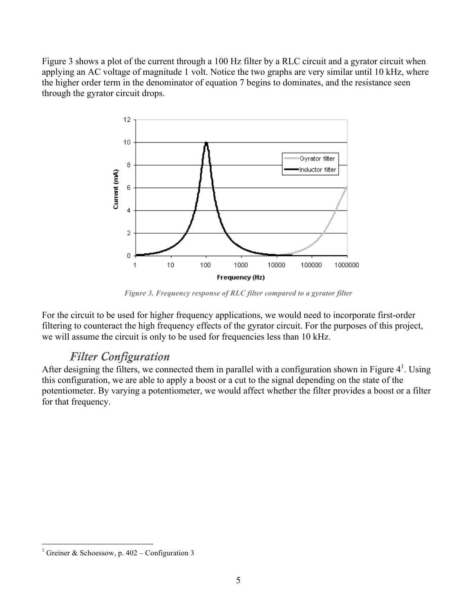Figure 3 shows a plot of the current through a 100 Hz filter by a RLC circuit and a gyrator circuit when applying an AC voltage of magnitude 1 volt. Notice the two graphs are very similar until 10 kHz, where the higher order term in the denominator of equation 7 begins to dominates, and the resistance seen through the gyrator circuit drops.



*Figure 3. Frequency response of RLC filter compared to a gyrator filter*

For the circuit to be used for higher frequency applications, we would need to incorporate first-order filtering to counteract the high frequency effects of the gyrator circuit. For the purposes of this project, we will assume the circuit is only to be used for frequencies less than 10 kHz.

#### *Filter Configuration*

After designing the filters, we connected them in parallel with a configuration shown in Figure  $4^1$ . Using this configuration, we are able to apply a boost or a cut to the signal depending on the state of the potentiometer. By varying a potentiometer, we would affect whether the filter provides a boost or a filter for that frequency.

 $\frac{1}{1}$ Greiner & Schoessow, p. 402 – Configuration 3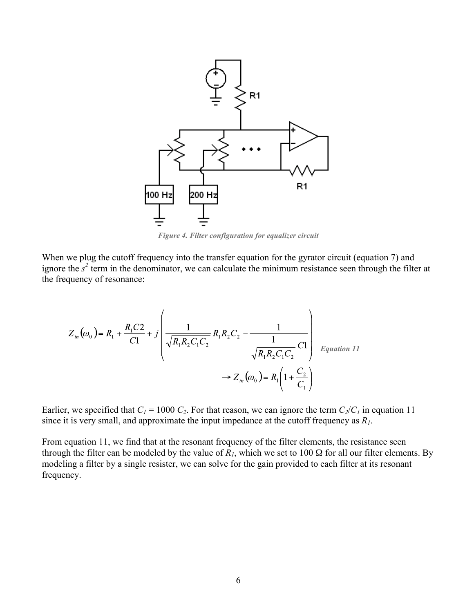

*Figure 4. Filter configuration for equalizer circuit*

When we plug the cutoff frequency into the transfer equation for the gyrator circuit (equation 7) and ignore the  $s^2$  term in the denominator, we can calculate the minimum resistance seen through the filter at the frequency of resonance:

$$
Z_{in}(\omega_0) = R_1 + \frac{R_1 C 2}{C1} + j \left( \frac{1}{\sqrt{R_1 R_2 C_1 C_2}} R_1 R_2 C_2 - \frac{1}{\frac{1}{\sqrt{R_1 R_2 C_1 C_2}} C1} \right) \xrightarrow{Equation 11}
$$
  

$$
\rightarrow Z_{in}(\omega_0) = R_1 \left( 1 + \frac{C_2}{C_1} \right)
$$

Earlier, we specified that  $C_1 = 1000 C_2$ . For that reason, we can ignore the term  $C_2/C_1$  in equation 11 since it is very small, and approximate the input impedance at the cutoff frequency as *R1*.

From equation 11, we find that at the resonant frequency of the filter elements, the resistance seen through the filter can be modeled by the value of  $R<sub>1</sub>$ , which we set to 100  $\Omega$  for all our filter elements. By modeling a filter by a single resister, we can solve for the gain provided to each filter at its resonant frequency.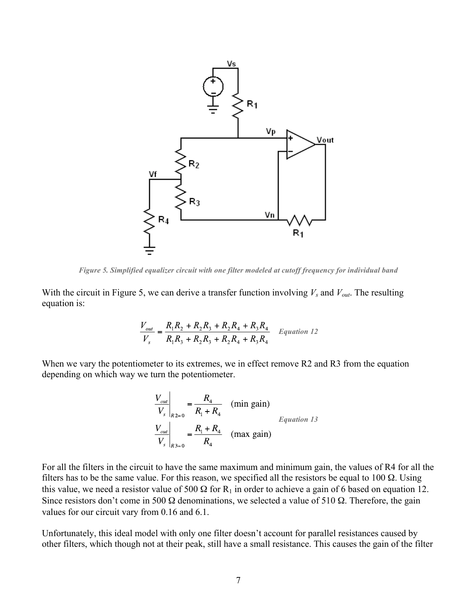

*Figure 5. Simplified equalizer circuit with one filter modeled at cutoff frequency for individual band*

With the circuit in Figure 5, we can derive a transfer function involving  $V_s$  and  $V_{out}$ . The resulting equation is:

$$
\frac{V_{out}}{V_s} = \frac{R_1 R_2 + R_2 R_3 + R_2 R_4 + R_3 R_4}{R_1 R_3 + R_2 R_3 + R_2 R_4 + R_3 R_4}
$$
 Equation 12

When we vary the potentiometer to its extremes, we in effect remove R2 and R3 from the equation depending on which way we turn the potentiometer.

$$
\frac{V_{out}}{V_s}\Big|_{R2=0} = \frac{R_4}{R_1 + R_4} \quad \text{(min gain)}
$$
\n
$$
\frac{V_{out}}{V_s}\Big|_{R3=0} = \frac{R_1 + R_4}{R_4} \quad \text{(max gain)}
$$
\n
$$
Equation 13
$$

For all the filters in the circuit to have the same maximum and minimum gain, the values of R4 for all the filters has to be the same value. For this reason, we specified all the resistors be equal to 100  $\Omega$ . Using this value, we need a resistor value of 500  $\Omega$  for R<sub>1</sub> in order to achieve a gain of 6 based on equation 12. Since resistors don't come in 500  $\Omega$  denominations, we selected a value of 510  $\Omega$ . Therefore, the gain values for our circuit vary from 0.16 and 6.1.

Unfortunately, this ideal model with only one filter doesn't account for parallel resistances caused by other filters, which though not at their peak, still have a small resistance. This causes the gain of the filter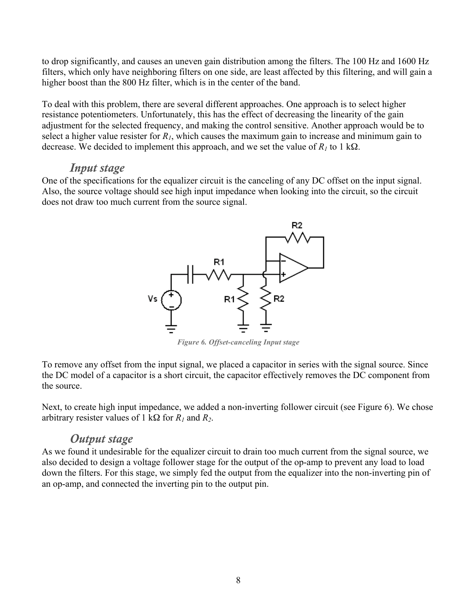to drop significantly, and causes an uneven gain distribution among the filters. The 100 Hz and 1600 Hz filters, which only have neighboring filters on one side, are least affected by this filtering, and will gain a higher boost than the 800 Hz filter, which is in the center of the band.

To deal with this problem, there are several different approaches. One approach is to select higher resistance potentiometers. Unfortunately, this has the effect of decreasing the linearity of the gain adjustment for the selected frequency, and making the control sensitive. Another approach would be to select a higher value resister for *R1*, which causes the maximum gain to increase and minimum gain to decrease. We decided to implement this approach, and we set the value of  $R_1$  to 1 k $\Omega$ .

#### *Input stage*

One of the specifications for the equalizer circuit is the canceling of any DC offset on the input signal. Also, the source voltage should see high input impedance when looking into the circuit, so the circuit does not draw too much current from the source signal.



*Figure 6. Offset-canceling Input stage*

To remove any offset from the input signal, we placed a capacitor in series with the signal source. Since the DC model of a capacitor is a short circuit, the capacitor effectively removes the DC component from the source.

Next, to create high input impedance, we added a non-inverting follower circuit (see Figure 6). We chose arbitrary resister values of 1 kΩ for *R1* and *R2*.

#### *Output stage*

As we found it undesirable for the equalizer circuit to drain too much current from the signal source, we also decided to design a voltage follower stage for the output of the op-amp to prevent any load to load down the filters. For this stage, we simply fed the output from the equalizer into the non-inverting pin of an op-amp, and connected the inverting pin to the output pin.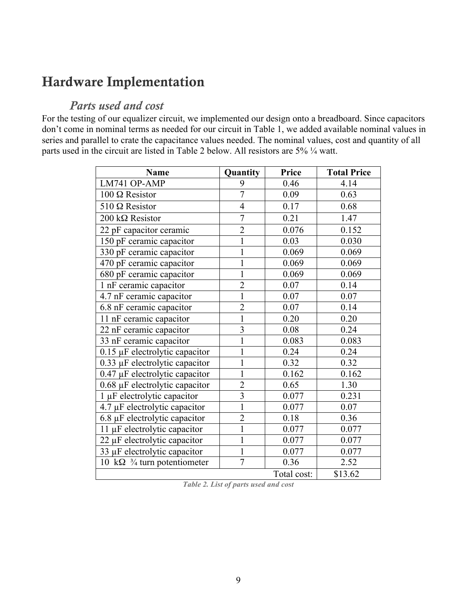### Hardware Implementation

### *Parts used and cost*

For the testing of our equalizer circuit, we implemented our design onto a breadboard. Since capacitors don't come in nominal terms as needed for our circuit in Table 1, we added available nominal values in series and parallel to crate the capacitance values needed. The nominal values, cost and quantity of all parts used in the circuit are listed in Table 2 below. All resistors are 5% ¼ watt.

| <b>Name</b>                            | Quantity                | Price       | <b>Total Price</b> |
|----------------------------------------|-------------------------|-------------|--------------------|
| LM741 OP-AMP                           | 9                       | 0.46        | 4.14               |
| $100 \Omega$ Resistor                  | $\overline{7}$          | 0.09        | 0.63               |
| $510 \Omega$ Resistor                  | $\overline{4}$          | 0.17        | 0.68               |
| 200 kΩ Resistor                        | $\overline{7}$          | 0.21        | 1.47               |
| 22 pF capacitor ceramic                | $\overline{2}$          | 0.076       | 0.152              |
| 150 pF ceramic capacitor               | $\mathbf{1}$            | 0.03        | 0.030              |
| 330 pF ceramic capacitor               | $\mathbf{1}$            | 0.069       | 0.069              |
| 470 pF ceramic capacitor               | $\mathbf 1$             | 0.069       | 0.069              |
| 680 pF ceramic capacitor               | $\mathbf{1}$            | 0.069       | 0.069              |
| 1 nF ceramic capacitor                 | $\overline{c}$          | 0.07        | 0.14               |
| 4.7 nF ceramic capacitor               | $\mathbf{1}$            | 0.07        | 0.07               |
| 6.8 nF ceramic capacitor               | $\overline{2}$          | 0.07        | 0.14               |
| 11 nF ceramic capacitor                | $\mathbf{1}$            | 0.20        | 0.20               |
| 22 nF ceramic capacitor                | $\overline{\mathbf{3}}$ | 0.08        | 0.24               |
| 33 nF ceramic capacitor                | $\mathbf{1}$            | 0.083       | 0.083              |
| $0.15 \mu$ F electrolytic capacitor    | $\mathbf{1}$            | 0.24        | 0.24               |
| $0.33 \mu$ F electrolytic capacitor    | $\mathbf{1}$            | 0.32        | 0.32               |
| $0.47 \mu$ F electrolytic capacitor    | $\mathbf{1}$            | 0.162       | 0.162              |
| 0.68 µF electrolytic capacitor         | $\overline{2}$          | 0.65        | 1.30               |
| 1 μF electrolytic capacitor            | $\overline{3}$          | 0.077       | 0.231              |
| 4.7 µF electrolytic capacitor          | $\overline{1}$          | 0.077       | 0.07               |
| 6.8 µF electrolytic capacitor          | $\overline{2}$          | 0.18        | 0.36               |
| 11 μF electrolytic capacitor           | $\mathbf{1}$            | 0.077       | 0.077              |
| 22 µF electrolytic capacitor           | $\overline{1}$          | 0.077       | 0.077              |
| 33 µF electrolytic capacitor           | $\mathbf{1}$            | 0.077       | 0.077              |
| 10 kΩ $\frac{3}{4}$ turn potentiometer | $\overline{7}$          | 0.36        | 2.52               |
|                                        |                         | Total cost: | \$13.62            |

*Table 2. List of parts used and cost*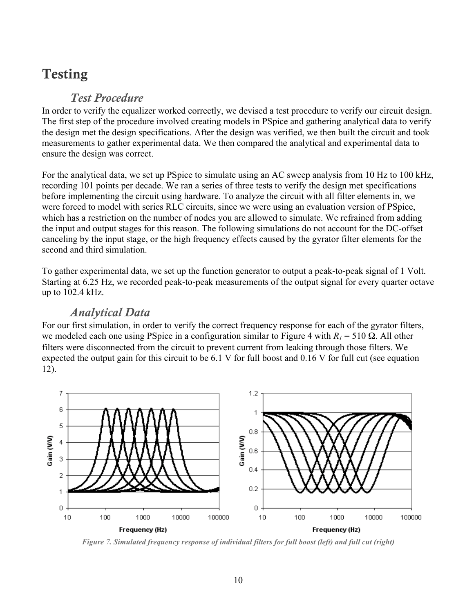# Testing

### *Test Procedure*

In order to verify the equalizer worked correctly, we devised a test procedure to verify our circuit design. The first step of the procedure involved creating models in PSpice and gathering analytical data to verify the design met the design specifications. After the design was verified, we then built the circuit and took measurements to gather experimental data. We then compared the analytical and experimental data to ensure the design was correct.

For the analytical data, we set up PSpice to simulate using an AC sweep analysis from 10 Hz to 100 kHz, recording 101 points per decade. We ran a series of three tests to verify the design met specifications before implementing the circuit using hardware. To analyze the circuit with all filter elements in, we were forced to model with series RLC circuits, since we were using an evaluation version of PSpice, which has a restriction on the number of nodes you are allowed to simulate. We refrained from adding the input and output stages for this reason. The following simulations do not account for the DC-offset canceling by the input stage, or the high frequency effects caused by the gyrator filter elements for the second and third simulation.

To gather experimental data, we set up the function generator to output a peak-to-peak signal of 1 Volt. Starting at 6.25 Hz, we recorded peak-to-peak measurements of the output signal for every quarter octave up to 102.4 kHz.

### *Analytical Data*

For our first simulation, in order to verify the correct frequency response for each of the gyrator filters, we modeled each one using PSpice in a configuration similar to Figure 4 with  $R_1 = 510 \Omega$ . All other filters were disconnected from the circuit to prevent current from leaking through those filters. We expected the output gain for this circuit to be 6.1 V for full boost and 0.16 V for full cut (see equation 12).

![](_page_12_Figure_7.jpeg)

*Figure 7. Simulated frequency response of individual filters for full boost (left) and full cut (right)*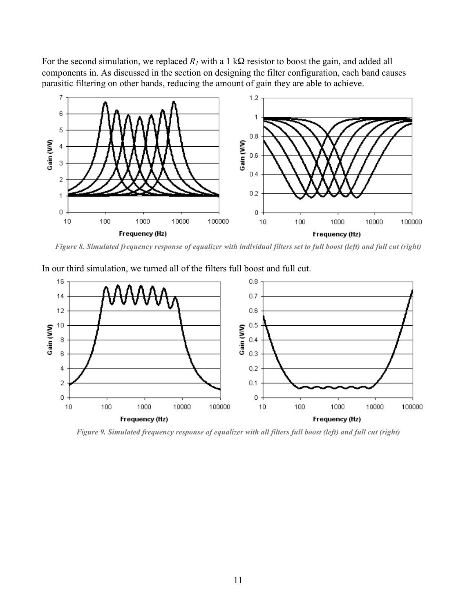For the second simulation, we replaced  $R_1$  with a 1 kΩ resistor to boost the gain, and added all components in. As discussed in the section on designing the filter configuration, each band causes parasitic filtering on other bands, reducing the amount of gain they are able to achieve.

![](_page_13_Figure_1.jpeg)

*Figure 8. Simulated frequency response of equalizer with individual filters set to full boost (left) and full cut (right)*

![](_page_13_Figure_3.jpeg)

In our third simulation, we turned all of the filters full boost and full cut.

*Figure 9. Simulated frequency response of equalizer with all filters full boost (left) and full cut (right)*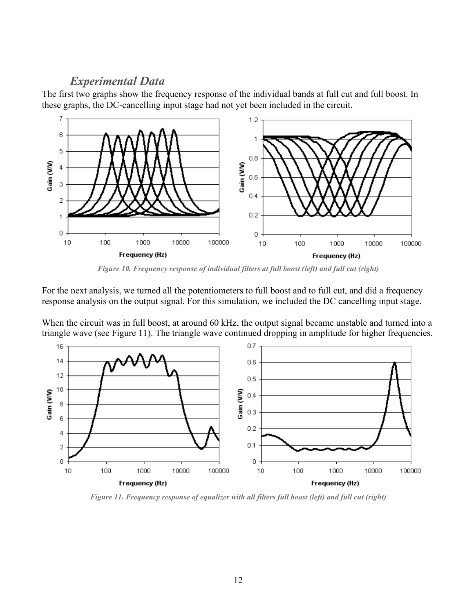#### *Experimental Data*

The first two graphs show the frequency response of the individual bands at full cut and full boost. In these graphs, the DC-cancelling input stage had not yet been included in the circuit.

![](_page_14_Figure_2.jpeg)

*Figure 10. Frequency response of individual filters at full boost (left) and full cut (right)*

For the next analysis, we turned all the potentiometers to full boost and to full cut, and did a frequency response analysis on the output signal. For this simulation, we included the DC cancelling input stage.

When the circuit was in full boost, at around 60 kHz, the output signal became unstable and turned into a triangle wave (see Figure 11). The triangle wave continued dropping in amplitude for higher frequencies.

![](_page_14_Figure_6.jpeg)

*Figure 11. Frequency response of equalizer with all filters full boost (left) and full cut (right)*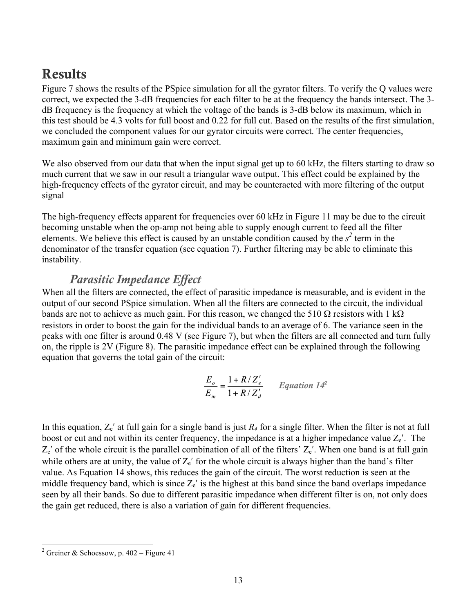## **Results**

Figure 7 shows the results of the PSpice simulation for all the gyrator filters. To verify the Q values were correct, we expected the 3-dB frequencies for each filter to be at the frequency the bands intersect. The 3 dB frequency is the frequency at which the voltage of the bands is 3-dB below its maximum, which in this test should be 4.3 volts for full boost and 0.22 for full cut. Based on the results of the first simulation, we concluded the component values for our gyrator circuits were correct. The center frequencies, maximum gain and minimum gain were correct.

We also observed from our data that when the input signal get up to 60 kHz, the filters starting to draw so much current that we saw in our result a triangular wave output. This effect could be explained by the high-frequency effects of the gyrator circuit, and may be counteracted with more filtering of the output signal

The high-frequency effects apparent for frequencies over 60 kHz in Figure 11 may be due to the circuit becoming unstable when the op-amp not being able to supply enough current to feed all the filter elements. We believe this effect is caused by an unstable condition caused by the  $s^2$  term in the denominator of the transfer equation (see equation 7). Further filtering may be able to eliminate this instability.

### *Parasitic Impedance Effect*

When all the filters are connected, the effect of parasitic impedance is measurable, and is evident in the output of our second PSpice simulation. When all the filters are connected to the circuit, the individual bands are not to achieve as much gain. For this reason, we changed the 510  $\Omega$  resistors with 1 k $\Omega$ resistors in order to boost the gain for the individual bands to an average of 6. The variance seen in the peaks with one filter is around 0.48 V (see Figure 7), but when the filters are all connected and turn fully on, the ripple is 2V (Figure 8). The parasitic impedance effect can be explained through the following equation that governs the total gain of the circuit:

$$
\frac{E_o}{E_{in}} = \frac{1 + R/Z_e'}{1 + R/Z_d'}
$$
 Equation 14<sup>2</sup>

In this equation,  $Z_e'$  at full gain for a single band is just  $R_4$  for a single filter. When the filter is not at full boost or cut and not within its center frequency, the impedance is at a higher impedance value  $Z_e'$ . The  $Z_e'$  of the whole circuit is the parallel combination of all of the filters'  $Z_e'$ . When one band is at full gain while others are at unity, the value of  $Z_e'$  for the whole circuit is always higher than the band's filter value. As Equation 14 shows, this reduces the gain of the circuit. The worst reduction is seen at the middle frequency band, which is since  $Z_e'$  is the highest at this band since the band overlaps impedance seen by all their bands. So due to different parasitic impedance when different filter is on, not only does the gain get reduced, there is also a variation of gain for different frequencies.

 $\frac{1}{2}$ <sup>2</sup> Greiner & Schoessow, p.  $402 -$  Figure 41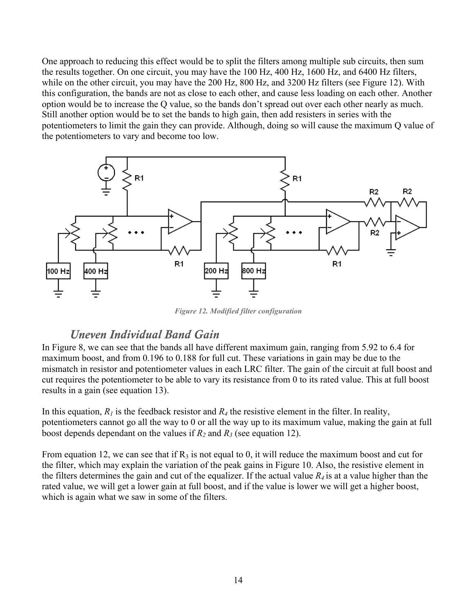One approach to reducing this effect would be to split the filters among multiple sub circuits, then sum the results together. On one circuit, you may have the 100 Hz, 400 Hz, 1600 Hz, and 6400 Hz filters, while on the other circuit, you may have the 200 Hz, 800 Hz, and 3200 Hz filters (see Figure 12). With this configuration, the bands are not as close to each other, and cause less loading on each other. Another option would be to increase the Q value, so the bands don't spread out over each other nearly as much. Still another option would be to set the bands to high gain, then add resisters in series with the potentiometers to limit the gain they can provide. Although, doing so will cause the maximum Q value of the potentiometers to vary and become too low.

![](_page_16_Figure_1.jpeg)

*Figure 12. Modified filter configuration*

### *Uneven Individual Band Gain*

In Figure 8, we can see that the bands all have different maximum gain, ranging from 5.92 to 6.4 for maximum boost, and from 0.196 to 0.188 for full cut. These variations in gain may be due to the mismatch in resistor and potentiometer values in each LRC filter. The gain of the circuit at full boost and cut requires the potentiometer to be able to vary its resistance from 0 to its rated value. This at full boost results in a gain (see equation 13).

In this equation,  $R_I$  is the feedback resistor and  $R_I$  the resistive element in the filter. In reality, potentiometers cannot go all the way to 0 or all the way up to its maximum value, making the gain at full boost depends dependant on the values if  $R_2$  and  $R_3$  (see equation 12).

From equation 12, we can see that if  $R_3$  is not equal to 0, it will reduce the maximum boost and cut for the filter, which may explain the variation of the peak gains in Figure 10. Also, the resistive element in the filters determines the gain and cut of the equalizer. If the actual value  $R_4$  is at a value higher than the rated value, we will get a lower gain at full boost, and if the value is lower we will get a higher boost, which is again what we saw in some of the filters.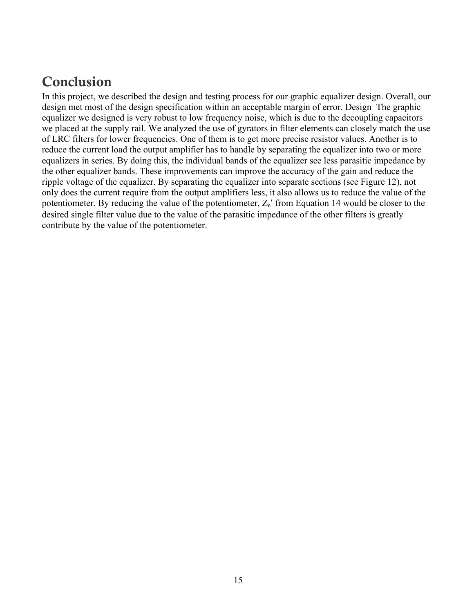### Conclusion

In this project, we described the design and testing process for our graphic equalizer design. Overall, our design met most of the design specification within an acceptable margin of error. Design The graphic equalizer we designed is very robust to low frequency noise, which is due to the decoupling capacitors we placed at the supply rail. We analyzed the use of gyrators in filter elements can closely match the use of LRC filters for lower frequencies. One of them is to get more precise resistor values. Another is to reduce the current load the output amplifier has to handle by separating the equalizer into two or more equalizers in series. By doing this, the individual bands of the equalizer see less parasitic impedance by the other equalizer bands. These improvements can improve the accuracy of the gain and reduce the ripple voltage of the equalizer. By separating the equalizer into separate sections (see Figure 12), not only does the current require from the output amplifiers less, it also allows us to reduce the value of the potentiometer. By reducing the value of the potentiometer,  $Z_e'$  from Equation 14 would be closer to the desired single filter value due to the value of the parasitic impedance of the other filters is greatly contribute by the value of the potentiometer.